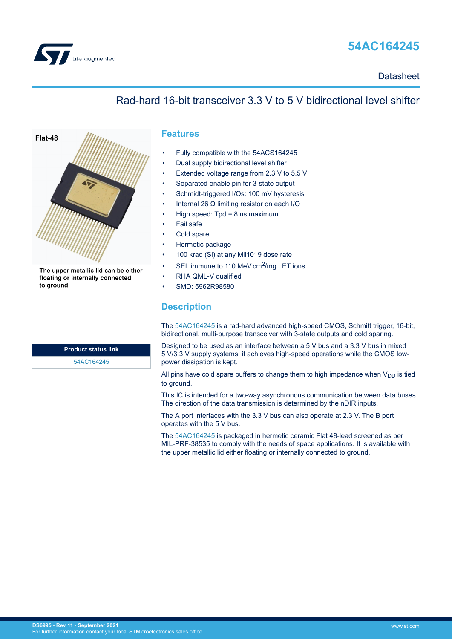

# **54AC164245**

**Datasheet** 

## Rad-hard 16-bit transceiver 3.3 V to 5 V bidirectional level shifter



The upper metallic lid can be either floating or internally connected to ground

**Product status link**

[54AC164245](https://www.st.com/en/product/54ac164245?ecmp=tt9470_gl_link_feb2019&rt=ds&id=DS6995)

## **Features**

- Fully compatible with the 54ACS164245
- Dual supply bidirectional level shifter
- Extended voltage range from 2.3 V to 5.5 V
- Separated enable pin for 3-state output
- Schmidt-triggered I/Os: 100 mV hysteresis
- Internal 26  $Ω$  limiting resistor on each I/O
- High speed:  $Tpd = 8$  ns maximum
- Fail safe
- Cold spare
- Hermetic package
- 100 krad (Si) at any Mil1019 dose rate
- SEL immune to 110 MeV.cm<sup>2</sup>/mg LET ions
- RHA QML-V qualified
- SMD: 5962R98580

## **Description**

The [54AC164245](https://www.st.com/en/product/54ac164245?ecmp=tt9470_gl_link_feb2019&rt=ds&id=DS6995) is a rad-hard advanced high-speed CMOS, Schmitt trigger, 16-bit, bidirectional, multi-purpose transceiver with 3-state outputs and cold sparing.

Designed to be used as an interface between a 5 V bus and a 3.3 V bus in mixed 5 V/3.3 V supply systems, it achieves high-speed operations while the CMOS lowpower dissipation is kept.

All pins have cold spare buffers to change them to high impedance when  $V_{DD}$  is tied to ground.

This IC is intended for a two-way asynchronous communication between data buses. The direction of the data transmission is determined by the nDIR inputs.

The A port interfaces with the 3.3 V bus can also operate at 2.3 V. The B port operates with the 5 V bus.

The [54AC164245](https://www.st.com/en/product/54ac164245?ecmp=tt9470_gl_link_feb2019&rt=ds&id=DS6995) is packaged in hermetic ceramic Flat 48-lead screened as per MIL-PRF-38535 to comply with the needs of space applications. It is available with the upper metallic lid either floating or internally connected to ground.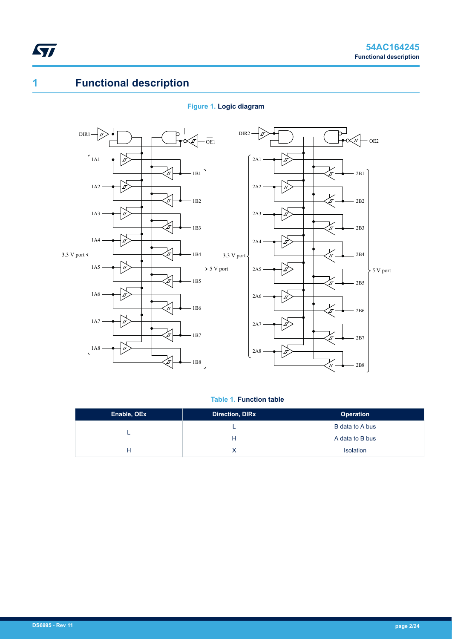# <span id="page-1-0"></span>**1 Functional description**

## **Figure 1. Logic diagram**



## **Table 1. Function table**

| Enable, OEx | <b>Direction, DIRx</b> | <b>Operation</b> |
|-------------|------------------------|------------------|
|             |                        | B data to A bus  |
|             | н                      | A data to B bus  |
|             |                        | <b>Isolation</b> |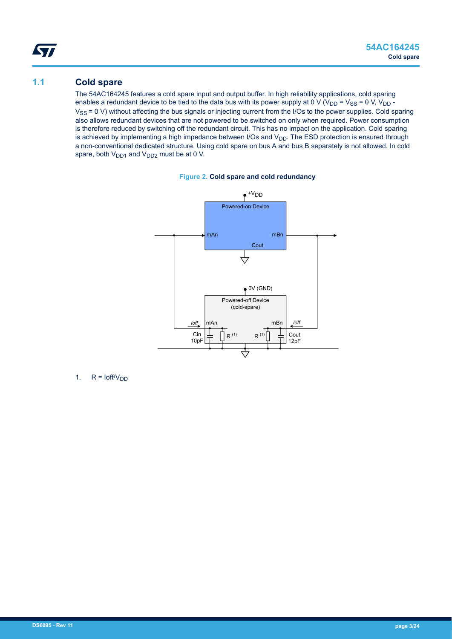## **1.1 Cold spare**

<span id="page-2-0"></span>W

The 54AC164245 features a cold spare input and output buffer. In high reliability applications, cold sparing enables a redundant device to be tied to the data bus with its power supply at 0 V (V<sub>DD</sub> = V<sub>SS</sub> = 0 V, V<sub>DD</sub> - $V_{SS}$  = 0 V) without affecting the bus signals or injecting current from the I/Os to the power supplies. Cold sparing also allows redundant devices that are not powered to be switched on only when required. Power consumption is therefore reduced by switching off the redundant circuit. This has no impact on the application. Cold sparing is achieved by implementing a high impedance between I/Os and  $V_{DD}$ . The ESD protection is ensured through a non-conventional dedicated structure. Using cold spare on bus A and bus B separately is not allowed. In cold spare, both  $V_{DD1}$  and  $V_{DD2}$  must be at 0 V.





1.  $R = \text{Ioff}/V_{DD}$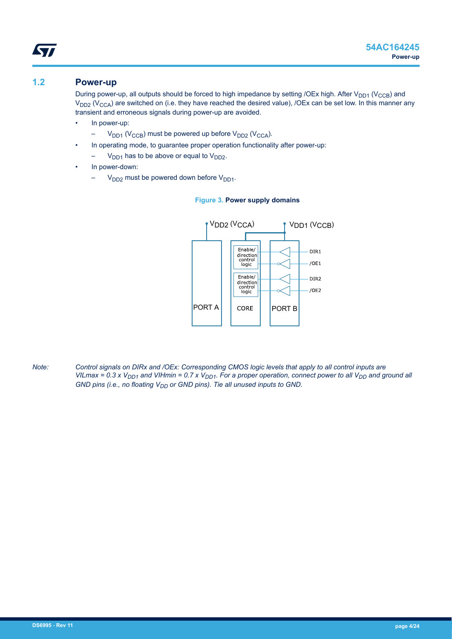## **1.2 Power-up**

<span id="page-3-0"></span>ST

During power-up, all outputs should be forced to high impedance by setting /OEx high. After V<sub>DD1</sub> (V<sub>CCB</sub>) and  $V_{DD2}$  (V<sub>CCA</sub>) are switched on (i.e. they have reached the desired value), /OEx can be set low. In this manner any transient and erroneous signals during power-up are avoided.

- In power-up:
	- $-V_{DD1}$  (V<sub>CCB</sub>) must be powered up before V<sub>DD2</sub> (V<sub>CCA</sub>).
	- In operating mode, to guarantee proper operation functionality after power-up:
	- $V_{DD1}$  has to be above or equal to  $V_{DD2}$ .
- In power-down:
	- $V_{DD2}$  must be powered down before  $V_{DD1}$ .

#### **Figure 3. Power supply domains**



*Note: Control signals on DIRx and /OEx: Corresponding CMOS logic levels that apply to all control inputs are VILmax = 0.3 x VDD1 and VIHmin = 0.7 x VDD1. For a proper operation, connect power to all VDD and ground all GND pins (i.e., no floating V<sub>DD</sub> or GND pins). Tie all unused inputs to GND.*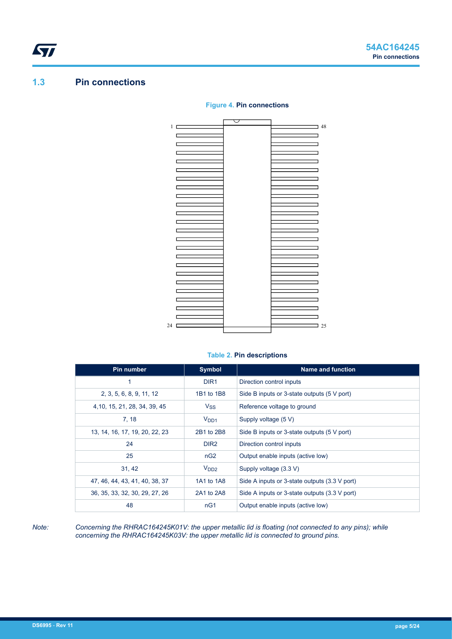## **1.3 Pin connections**

<span id="page-4-0"></span>ST

#### 1 48  $\Box$  $\Box$ h  $\Box$ H, d Ē, F.  $\overline{\phantom{0}}$  $\mathbf{I}$ C  $\overline{\phantom{0}}$  $\overline{a}$ D  $\overline{\mathbf{1}}$  $\overline{\phantom{0}}$  $\Box$ ┓  $\Box$ ┑  $\overline{a}$ h Ē, ┑ ٦ ٦ ٦ ٦ ٦ 24  $\sim$  25

### **Figure 4. Pin connections**

#### **Table 2. Pin descriptions**

| Pin number                     | <b>Symbol</b>    | <b>Name and function</b>                      |
|--------------------------------|------------------|-----------------------------------------------|
|                                | DIR <sub>1</sub> | Direction control inputs                      |
| 2, 3, 5, 6, 8, 9, 11, 12       | 1B1 to 1B8       | Side B inputs or 3-state outputs (5 V port)   |
| 4, 10, 15, 21, 28, 34, 39, 45  | $V_{SS}$         | Reference voltage to ground                   |
| 7, 18                          | V <sub>DD1</sub> | Supply voltage (5 V)                          |
| 13, 14, 16, 17, 19, 20, 22, 23 | 2B1 to 2B8       | Side B inputs or 3-state outputs (5 V port)   |
| 24                             | DIR <sub>2</sub> | Direction control inputs                      |
| 25                             | nG <sub>2</sub>  | Output enable inputs (active low)             |
| 31, 42                         | V <sub>DD2</sub> | Supply voltage (3.3 V)                        |
| 47, 46, 44, 43, 41, 40, 38, 37 | 1A1 to 1A8       | Side A inputs or 3-state outputs (3.3 V port) |
| 36, 35, 33, 32, 30, 29, 27, 26 | 2A1 to 2A8       | Side A inputs or 3-state outputs (3.3 V port) |
| 48                             | nG1              | Output enable inputs (active low)             |

*Note: Concerning the RHRAC164245K01V: the upper metallic lid is floating (not connected to any pins); while concerning the RHRAC164245K03V: the upper metallic lid is connected to ground pins.*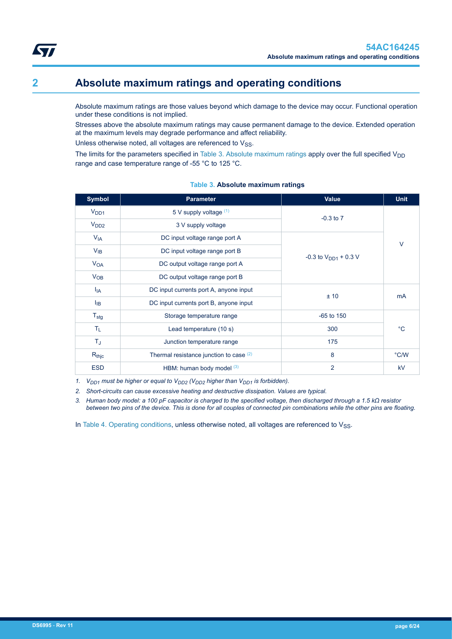<span id="page-5-0"></span>Absolute maximum ratings are those values beyond which damage to the device may occur. Functional operation under these conditions is not implied.

Stresses above the absolute maximum ratings may cause permanent damage to the device. Extended operation at the maximum levels may degrade performance and affect reliability.

Unless otherwise noted, all voltages are referenced to  $V_{SS}$ .

The limits for the parameters specified in Table 3. Absolute maximum ratings apply over the full specified  $V_{DD}$ range and case temperature range of -55 °C to 125 °C.

## **Symbol Parameter Value Unit**  $V_{DD1}$   $V_{DD1}$  5 V supply voltage  $(1)$ -0.3 to 7  $V_{DD2}$  3 V supply voltage V<sub>IA</sub> DC input voltage range port A  $-0.3$  to  $V_{DD1}$  + 0.3 V V<sub>IB</sub> DC input voltage range port B V<sub>OA</sub> DC output voltage range port A  $V_{OB}$  DC output voltage range port B  $I_{IA}$  DC input currents port A, anyone input  $± 10$  mA  $I_{IB}$  DC input currents port B, anyone input  $T_{\text{sta}}$   $\qquad \qquad$  Storage temperature range  $\qquad \qquad$  -65 to 150 T<sub>L</sub> Lead temperature (10 s) 300 300 °C

#### **Table 3. Absolute maximum ratings**

*1. VDD1 must be higher or equal to VDD2 (VDD2 higher than VDD1 is forbidden).*

*2. Short-circuits can cause excessive heating and destructive dissipation. Values are typical.*

*3. Human body model: a 100 pF capacitor is charged to the specified voltage, then discharged through a 1.5 kΩ resistor between two pins of the device. This is done for all couples of connected pin combinations while the other pins are floating.*

Rthic **R**thic Thermal resistance junction to case  $(2)$  8 8 °C/W ESD HBM: human body model (3) 2 2 kV

In [Table 4. Operating conditions,](#page-6-0) unless otherwise noted, all voltages are referenced to  $V_{SS}$ .

T<sub>J</sub> Junction temperature range 175

 $\overline{V}$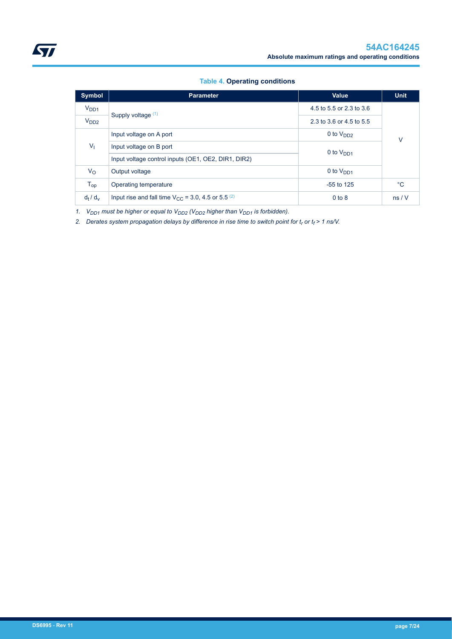## **Table 4. Operating conditions**

<span id="page-6-0"></span>

| <b>Symbol</b>    | <b>Parameter</b>                                                   | <b>Value</b>             | <b>Unit</b> |
|------------------|--------------------------------------------------------------------|--------------------------|-------------|
| V <sub>DD1</sub> |                                                                    | 4.5 to 5.5 or 2.3 to 3.6 |             |
| V <sub>DD2</sub> | Supply voltage (1)                                                 | 2.3 to 3.6 or 4.5 to 5.5 |             |
|                  | Input voltage on A port                                            | 0 to $V_{DD2}$           | v           |
| V <sub>1</sub>   | Input voltage on B port                                            | 0 to $V_{DD1}$           |             |
|                  | Input voltage control inputs (OE1, OE2, DIR1, DIR2)                |                          |             |
| $V_{\rm O}$      | Output voltage                                                     | 0 to $V_{DD1}$           |             |
| $T_{op}$         | Operating temperature                                              | $-55$ to 125             | $^{\circ}C$ |
| $d_t/d_v$        | Input rise and fall time $V_{CC}$ = 3.0, 4.5 or 5.5 <sup>(2)</sup> | $0$ to $8$               | ns/V        |

*1. VDD1 must be higher or equal to VDD2 (VDD2 higher than VDD1 is forbidden).*

*2. Derates system propagation delays by difference in rise time to switch point for t<sup>r</sup> or t<sup>f</sup> > 1 ns/V.*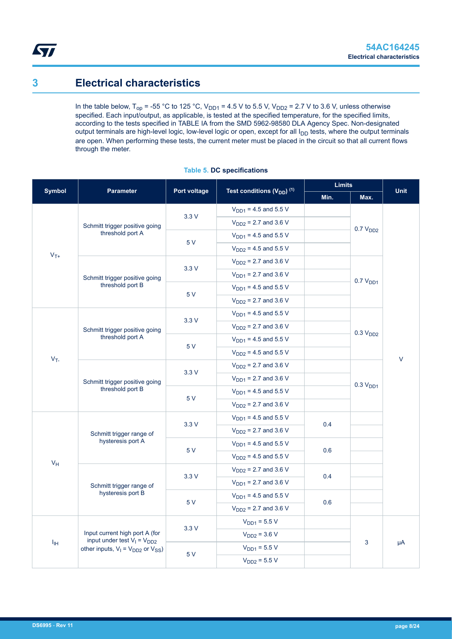# **3 Electrical characteristics**

<span id="page-7-0"></span>ST

In the table below,  $T_{op}$  = -55 °C to 125 °C,  $V_{DD1}$  = 4.5 V to 5.5 V,  $V_{DD2}$  = 2.7 V to 3.6 V, unless otherwise specified. Each input/output, as applicable, is tested at the specified temperature, for the specified limits, according to the tests specified in TABLE IA from the SMD 5962-98580 DLA Agency Spec. Non-designated output terminals are high-level logic, low-level logic or open, except for all I<sub>DD</sub> tests, where the output terminals are open. When performing these tests, the current meter must be placed in the circuit so that all current flows through the meter.

| <b>Symbol</b> | <b>Parameter</b><br>Port voltage                                   |      | Test conditions $(V_{DD})$ <sup>(1)</sup> | <b>Limits</b>             |                           | <b>Unit</b> |                      |  |
|---------------|--------------------------------------------------------------------|------|-------------------------------------------|---------------------------|---------------------------|-------------|----------------------|--|
|               |                                                                    |      |                                           | Min.                      | Max.                      |             |                      |  |
|               |                                                                    | 3.3V | $V_{DD1}$ = 4.5 and 5.5 V                 |                           |                           |             |                      |  |
|               | Schmitt trigger positive going                                     |      | $V_{DD2}$ = 2.7 and 3.6 V                 |                           |                           |             |                      |  |
|               | threshold port A                                                   |      | $V_{DD1} = 4.5$ and 5.5 V                 |                           | 0.7 V <sub>DD2</sub>      |             |                      |  |
|               |                                                                    | 5 V  | $V_{DD2}$ = 4.5 and 5.5 V                 |                           |                           |             |                      |  |
| $V_{T+}$      |                                                                    |      | $V_{DD2}$ = 2.7 and 3.6 V                 |                           |                           |             |                      |  |
|               | Schmitt trigger positive going                                     | 3.3V | $V_{DD1}$ = 2.7 and 3.6 V                 |                           |                           |             |                      |  |
|               | threshold port B                                                   |      | $V_{DD1}$ = 4.5 and 5.5 V                 |                           | 0.7 V <sub>DD1</sub>      |             |                      |  |
|               |                                                                    | 5 V  | $V_{DD2}$ = 2.7 and 3.6 V                 |                           |                           |             |                      |  |
|               |                                                                    |      | $V_{DD1}$ = 4.5 and 5.5 V                 |                           |                           |             |                      |  |
|               | Schmitt trigger positive going<br>threshold port A<br>$V_T$        | 3.3V | $V_{DD2}$ = 2.7 and 3.6 V                 |                           |                           |             |                      |  |
|               |                                                                    |      | $V_{DD1} = 4.5$ and 5.5 V                 |                           | 0.3 V <sub>DD2</sub>      |             |                      |  |
|               |                                                                    | 5 V  |                                           | $V_{DD2}$ = 4.5 and 5.5 V |                           |             |                      |  |
|               |                                                                    |      |                                           | $V_{DD2}$ = 2.7 and 3.6 V |                           |             | V                    |  |
|               | Schmitt trigger positive going                                     | 3.3V | $V_{DD1}$ = 2.7 and 3.6 V                 |                           |                           |             |                      |  |
|               | threshold port B                                                   |      |                                           | 5 V                       | $V_{DD1}$ = 4.5 and 5.5 V |             | 0.3 V <sub>DD1</sub> |  |
|               |                                                                    |      | $V_{DD2}$ = 2.7 and 3.6 V                 |                           |                           |             |                      |  |
|               |                                                                    | 3.3V | $V_{DD1}$ = 4.5 and 5.5 V                 | 0.4                       |                           |             |                      |  |
|               |                                                                    |      | Schmitt trigger range of                  |                           | $V_{DD2}$ = 2.7 and 3.6 V |             |                      |  |
|               | hysteresis port A                                                  | 5 V  | $V_{DD1}$ = 4.5 and 5.5 V                 | 0.6                       |                           |             |                      |  |
| $V_H$         |                                                                    |      | $V_{DD2}$ = 4.5 and 5.5 V                 |                           |                           |             |                      |  |
|               |                                                                    | 3.3V | $V_{DD2}$ = 2.7 and 3.6 V                 | 0.4                       |                           |             |                      |  |
|               | Schmitt trigger range of                                           |      | $V_{DD1}$ = 2.7 and 3.6 V                 |                           |                           |             |                      |  |
|               | hysteresis port B                                                  | 5 V  | $V_{DD1}$ = 4.5 and 5.5 V                 | 0.6                       |                           |             |                      |  |
|               |                                                                    |      | $V_{DD2}$ = 2.7 and 3.6 V                 |                           |                           |             |                      |  |
|               |                                                                    | 3.3V | $V_{DD1} = 5.5 V$                         |                           |                           |             |                      |  |
|               | Input current high port A (for<br>input under test $V_1 = V_{DD2}$ |      | $V_{DD2} = 3.6 V$                         |                           |                           | μA          |                      |  |
| $I_{\rm IH}$  | other inputs, $V_1 = V_{DD2}$ or $V_{SS}$ )                        |      | $V_{DD1} = 5.5 V$                         |                           | 3                         |             |                      |  |
|               |                                                                    | 5V   | $V_{DD2} = 5.5 V$                         |                           |                           |             |                      |  |
|               |                                                                    |      |                                           |                           |                           |             |                      |  |

### **Table 5. DC specifications**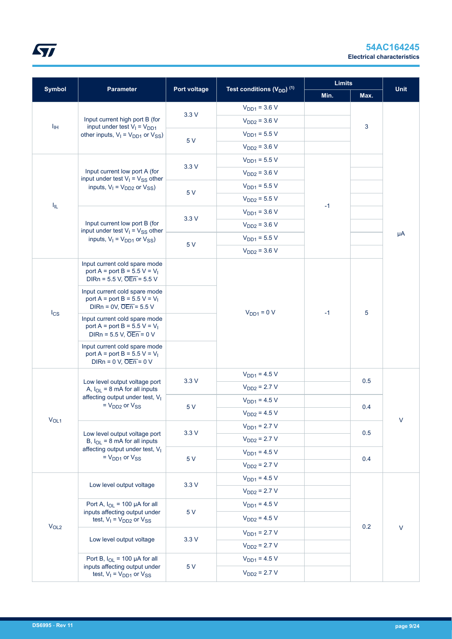

| <b>Symbol</b>     |                                                                                                                |              | Test conditions (V <sub>DD</sub> ) <sup>(1)</sup> | <b>Limits</b> |      | <b>Unit</b> |
|-------------------|----------------------------------------------------------------------------------------------------------------|--------------|---------------------------------------------------|---------------|------|-------------|
|                   | <b>Parameter</b>                                                                                               | Port voltage |                                                   | Min.          | Max. |             |
|                   |                                                                                                                | 3.3V         | $V_{DD1} = 3.6 V$                                 |               |      |             |
| $I_{\rm IH}$      | Input current high port B (for<br>input under test $V_1 = V_{DD1}$                                             |              | $V_{DD2} = 3.6 V$                                 |               | 3    |             |
|                   | other inputs, $V_1 = V_{DD1}$ or $V_{SS}$ )                                                                    |              | $V_{DD1} = 5.5 V$                                 |               |      |             |
|                   |                                                                                                                | 5 V          | $V_{DD2} = 3.6 V$                                 |               |      |             |
|                   |                                                                                                                |              | $V_{DD1} = 5.5 V$                                 |               |      |             |
|                   | Input current low port A (for<br>input under test $V_1 = V_{SS}$ other                                         | 3.3V         | $V_{DD2} = 3.6 V$                                 |               |      |             |
|                   | inputs, $V_1 = V_{DD2}$ or $V_{SS}$ )                                                                          | 5 V          | $V_{DD1} = 5.5 V$                                 |               |      |             |
|                   |                                                                                                                |              | $V_{DD2} = 5.5 V$                                 |               |      |             |
| $I_{\parallel L}$ |                                                                                                                | 3.3V         | $V_{DD1} = 3.6 V$                                 | $-1$          |      |             |
|                   | Input current low port B (for<br>input under test $V_1 = V_{SS}$ other                                         |              | $V_{DD2} = 3.6 V$                                 |               |      |             |
|                   | inputs, $V_1 = V_{DD1}$ or $V_{SS}$ )                                                                          |              | $V_{DD1} = 5.5 V$                                 |               |      | μA          |
|                   |                                                                                                                | 5 V          | $V_{DD2} = 3.6 V$                                 |               |      |             |
|                   | Input current cold spare mode<br>port A = port B = $5.5 V = V_1$<br>DIRn = $5.5$ V, $\overline{OEn}$ = $5.5$ V |              |                                                   |               |      |             |
|                   | Input current cold spare mode<br>port A = port B = $5.5 V = V_1$<br>DIRn = $0V$ , $\overline{OEn}$ = 5.5 V     |              |                                                   |               |      |             |
| $I_{CS}$          | Input current cold spare mode<br>port A = port B = $5.5 V = V_1$<br>DIRn = $5.5$ V, $\overline{OEn}$ = 0 V     |              | $VDD1 = 0 V$                                      | $-1$          | 5    |             |
|                   | Input current cold spare mode<br>port A = port B = $5.5 V = V_1$<br>DIRn = $0 V$ , $\overline{OEn}$ = $0 V$    |              |                                                   |               |      |             |
|                   |                                                                                                                | 3.3V         | $V_{DD1} = 4.5 V$                                 |               | 0.5  |             |
|                   | Low level output voltage port<br>A, $I_{OL}$ = 8 mA for all inputs                                             |              | $V_{DD2} = 2.7 V$                                 |               |      |             |
|                   | affecting output under test, V <sub>I</sub><br>$=$ $V_{DD2}$ or $V_{SS}$                                       | 5 V          | $V_{DD1} = 4.5 V$                                 |               | 0.4  |             |
|                   |                                                                                                                |              | $V_{DD2} = 4.5 V$                                 |               |      | $\vee$      |
| $V_{OL1}$         |                                                                                                                |              | $V_{DD1} = 2.7 V$                                 |               |      |             |
|                   | Low level output voltage port<br>B, $I_{OL}$ = 8 mA for all inputs                                             | 3.3V         | $V_{DD2} = 2.7 V$                                 |               | 0.5  |             |
|                   | affecting output under test, V <sub>I</sub><br>$= V_{DD1}$ or $V_{SS}$                                         |              | $V_{DD1} = 4.5 V$                                 |               |      |             |
|                   |                                                                                                                | 5 V          | $V_{DD2}$ = 2.7 V                                 |               | 0.4  |             |
|                   |                                                                                                                |              | $V_{DD1} = 4.5 V$                                 |               |      |             |
|                   | Low level output voltage                                                                                       | 3.3V         | $V_{DD2} = 2.7 V$                                 |               |      |             |
|                   | Port A, $I_{OL}$ = 100 µA for all                                                                              |              | $V_{DD1} = 4.5 V$                                 |               |      |             |
|                   | inputs affecting output under<br>test, $V_1 = V_{DD2}$ or $V_{SS}$                                             | 5 V          | $V_{DD2} = 4.5 V$                                 |               |      |             |
| V <sub>OL2</sub>  |                                                                                                                |              | $V_{DD1} = 2.7 V$                                 |               | 0.2  | V           |
|                   | Low level output voltage                                                                                       | 3.3V         | $V_{DD2}$ = 2.7 V                                 |               |      |             |
|                   | Port B, $I_{OL}$ = 100 µA for all                                                                              |              | $V_{DD1} = 4.5 V$                                 |               |      |             |
|                   | inputs affecting output under<br>test, $V_1 = V_{DD1}$ or $V_{SS}$                                             | 5V           | $V_{DD2} = 2.7 V$                                 |               |      |             |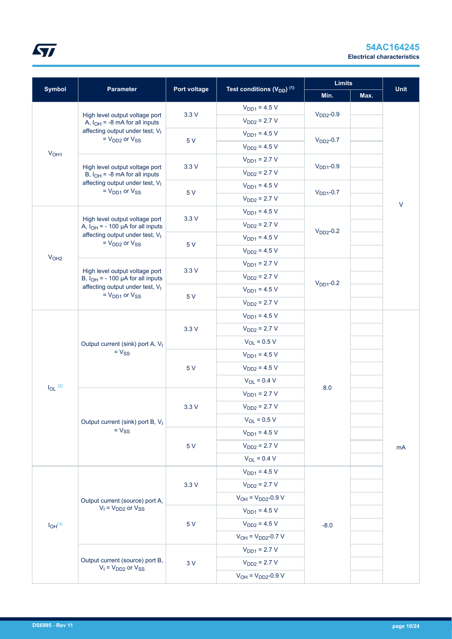

|                         |                                                                                                                                                   |              |                                                   | <b>Limits</b>  |      |             |
|-------------------------|---------------------------------------------------------------------------------------------------------------------------------------------------|--------------|---------------------------------------------------|----------------|------|-------------|
| <b>Symbol</b>           | Parameter                                                                                                                                         | Port voltage | Test conditions (V <sub>DD</sub> ) <sup>(1)</sup> | Min.           | Max. | <b>Unit</b> |
|                         |                                                                                                                                                   |              | $V_{DD1} = 4.5 V$                                 | $VDD2$ -0.9    |      |             |
|                         | High level output voltage port<br>A, $I_{OH}$ = -8 mA for all inputs<br>affecting output under test, V <sub>I</sub><br>$=$ $V_{DD2}$ or $V_{SS}$  | 3.3V         | $V_{DD2} = 2.7 V$                                 |                |      |             |
|                         |                                                                                                                                                   | 5 V          | $V_{DD1} = 4.5 V$                                 | $VDD2$ -0.7    |      |             |
|                         |                                                                                                                                                   |              | $V_{DD2} = 4.5 V$                                 |                |      |             |
| V <sub>OH1</sub>        |                                                                                                                                                   |              | $V_{DD1} = 2.7 V$                                 | $VDD1$ -0.9    |      |             |
|                         | High level output voltage port<br>B, $I_{OH}$ = -8 mA for all inputs                                                                              | 3.3V         | $V_{DD2} = 2.7 V$                                 |                |      |             |
|                         | affecting output under test, V <sub>I</sub><br>$= V_{DD1}$ or $V_{SS}$                                                                            |              | $V_{DD1} = 4.5 V$                                 | $VDD1 - 0.7$   |      |             |
|                         |                                                                                                                                                   | 5V           | $V_{DD2} = 2.7 V$                                 |                |      | $\sf V$     |
|                         |                                                                                                                                                   |              | $V_{DD1} = 4.5 V$                                 |                |      |             |
|                         | High level output voltage port<br>A, $I_{OH}$ = - 100 µA for all inputs                                                                           | 3.3V         | $V_{DD2} = 2.7 V$                                 |                |      |             |
|                         | affecting output under test, V <sub>I</sub><br>$=$ $V_{DD2}$ or $V_{SS}$                                                                          |              | $V_{DD1} = 4.5 V$                                 | $V_{DD2}$ -0.2 |      |             |
|                         |                                                                                                                                                   | 5 V          | $V_{DD2} = 4.5 V$                                 |                |      |             |
| V <sub>OH2</sub>        |                                                                                                                                                   |              | $V_{DD1} = 2.7 V$                                 |                |      |             |
|                         | High level output voltage port<br>B, $I_{OH}$ = - 100 µA for all inputs<br>affecting output under test, V <sub>I</sub><br>$= V_{DD1}$ or $V_{SS}$ | 3.3V         | $V_{DD2} = 2.7 V$                                 |                |      |             |
|                         |                                                                                                                                                   |              | $V_{DD1} = 4.5 V$                                 | $VDD1$ -0.2    |      |             |
|                         |                                                                                                                                                   | 5 V          | $V_{DD2} = 2.7 V$                                 |                |      |             |
|                         | Output current (sink) port A, V <sub>I</sub><br>$= V_{SS}$                                                                                        |              | $V_{DD1} = 4.5 V$                                 |                |      |             |
|                         |                                                                                                                                                   | 3.3V         | $V_{DD2} = 2.7 V$                                 |                |      |             |
|                         |                                                                                                                                                   |              | $V_{OL} = 0.5 V$                                  |                |      |             |
|                         |                                                                                                                                                   | 5 V          | $V_{DD1} = 4.5 V$                                 |                |      |             |
|                         |                                                                                                                                                   |              | $V_{DD2} = 4.5 V$                                 |                |      |             |
|                         |                                                                                                                                                   |              | $V_{OL} = 0.4 V$                                  |                |      |             |
| $I_{OL}$ (2)            |                                                                                                                                                   |              | $V_{DD1} = 2.7 V$                                 | 8.0            |      |             |
|                         |                                                                                                                                                   | 3.3V         | $V_{DD2} = 2.7 V$                                 |                |      |             |
|                         | Output current (sink) port B, V <sub>I</sub>                                                                                                      |              | $V_{OL} = 0.5 V$                                  |                |      |             |
|                         | $= V_{SS}$                                                                                                                                        |              | $V_{DD1} = 4.5 V$                                 |                |      | mA          |
|                         |                                                                                                                                                   | 5 V          | $V_{DD2} = 2.7 V$                                 |                |      |             |
|                         |                                                                                                                                                   |              | $V_{OL} = 0.4 V$                                  |                |      |             |
|                         |                                                                                                                                                   |              | $V_{DD1} = 4.5 V$                                 |                |      |             |
|                         |                                                                                                                                                   | 3.3V         | $V_{DD2} = 2.7 V$                                 |                |      |             |
|                         | Output current (source) port A,                                                                                                                   |              | $V_{OH} = V_{DD2} - 0.9 V$                        |                |      |             |
|                         | $V_1 = V_{DD2}$ or $V_{SS}$                                                                                                                       |              | $V_{DD1} = 4.5 V$                                 |                |      |             |
| $I_{OH}$ <sup>(3)</sup> |                                                                                                                                                   | 5 V          | $V_{DD2} = 4.5 V$                                 | $-8.0$         |      |             |
|                         |                                                                                                                                                   |              | $V_{OH} = V_{DD2} - 0.7 V$                        |                |      |             |
|                         |                                                                                                                                                   |              | $V_{DD1} = 2.7 V$                                 |                |      |             |
|                         | Output current (source) port B,                                                                                                                   | 3V           | $V_{DD2} = 2.7 V$                                 |                |      |             |
|                         | $V_1 = V_{DD2}$ or $V_{SS}$                                                                                                                       |              | $V_{OH} = V_{DD2} - 0.9 V$                        |                |      |             |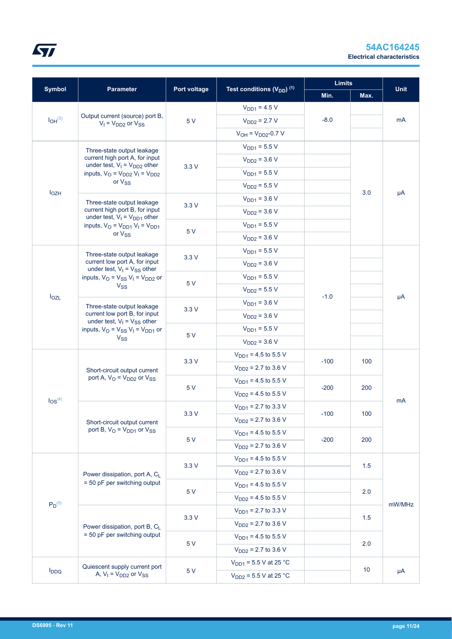

|                         |                                                                                                                                                                                 |                              | Test conditions (V <sub>DD</sub> ) <sup>(1)</sup> |                          | <b>Limits</b>            |             |     |
|-------------------------|---------------------------------------------------------------------------------------------------------------------------------------------------------------------------------|------------------------------|---------------------------------------------------|--------------------------|--------------------------|-------------|-----|
| <b>Symbol</b>           | <b>Parameter</b>                                                                                                                                                                | Port voltage                 |                                                   | Min.                     | Max.                     | <b>Unit</b> |     |
|                         |                                                                                                                                                                                 |                              | $V_{DD1} = 4.5 V$                                 |                          |                          |             |     |
| $I_{OH}$ <sup>(3)</sup> | Output current (source) port B,<br>$V_1$ = $V_{DD2}$ or $V_{SS}$                                                                                                                | 5 V                          | $V_{DD2} = 2.7 V$                                 | $-8.0$                   |                          | mA          |     |
|                         |                                                                                                                                                                                 |                              | $V_{OH} = V_{DD2} - 0.7 V$                        |                          |                          |             |     |
|                         | Three-state output leakage                                                                                                                                                      |                              | $V_{DD1} = 5.5 V$                                 |                          |                          |             |     |
|                         | current high port A, for input<br>under test, $V_1 = V_{DD2}$ other                                                                                                             |                              | $V_{DD2} = 3.6 V$                                 |                          |                          |             |     |
|                         | inputs, $V_O = V_{DD2} V_I = V_{DD2}$                                                                                                                                           | 3.3V                         | $V_{DD1} = 5.5 V$                                 |                          |                          |             |     |
|                         | or V <sub>SS</sub>                                                                                                                                                              |                              | $V_{DD2} = 5.5 V$                                 |                          |                          |             |     |
| $I_{OZH}$               | Three-state output leakage                                                                                                                                                      |                              | $V_{DD1} = 3.6 V$                                 |                          | 3.0                      | μA          |     |
|                         | current high port B, for input<br>under test, $V_1 = V_{DD1}$ other                                                                                                             | 3.3V                         | $V_{DD2} = 3.6 V$                                 |                          |                          |             |     |
|                         | inputs, $V_Q = V_{DD1} V_I = V_{DD1}$                                                                                                                                           |                              | $V_{DD1} = 5.5 V$                                 |                          |                          |             |     |
|                         | or V <sub>SS</sub>                                                                                                                                                              | 5 V                          | $V_{DD2} = 3.6 V$                                 |                          |                          |             |     |
|                         | Three-state output leakage                                                                                                                                                      |                              | $V_{DD1} = 5.5 V$                                 |                          |                          |             |     |
|                         | current low port A, for input                                                                                                                                                   | 3.3V                         | $V_{DD2} = 3.6 V$                                 |                          |                          |             |     |
|                         | under test, $V_1 = V_{SS}$ other<br>inputs, $V_O = V_{SS} V_I = V_{DD2}$ or                                                                                                     |                              | $V_{DD1} = 5.5 V$                                 |                          |                          |             |     |
|                         | $V_{SS}$<br>$I_{OZL}$<br>Three-state output leakage<br>current low port B, for input<br>under test, $V_1 = V_{SS}$ other<br>inputs, $V_O = V_{SS} V_I = V_{DD1}$ or<br>$V_{SS}$ |                              | 5 V                                               | $V_{DD2} = 5.5 V$        |                          |             |     |
|                         |                                                                                                                                                                                 |                              | $V_{DD1} = 3.6 V$                                 | $-1.0$                   |                          | $\mu A$     |     |
|                         |                                                                                                                                                                                 | 3.3V                         | $V_{DD2} = 3.6 V$                                 |                          |                          |             |     |
|                         |                                                                                                                                                                                 |                              | $V_{DD1} = 5.5 V$                                 |                          |                          |             |     |
|                         |                                                                                                                                                                                 |                              | 5 V                                               | $V_{DD2} = 3.6 V$        |                          |             |     |
|                         |                                                                                                                                                                                 | Short-circuit output current |                                                   | $V_{DD1}$ = 4.5 to 5.5 V |                          |             |     |
|                         |                                                                                                                                                                                 |                              |                                                   | 3.3V                     | $V_{DD2}$ = 2.7 to 3.6 V | $-100$      | 100 |
|                         | port A, $V_{\rm O}$ = $V_{\rm DD2}$ or $V_{\rm SS}$                                                                                                                             |                              | $V_{DD1}$ = 4.5 to 5.5 V                          |                          |                          |             |     |
|                         |                                                                                                                                                                                 | 5 V                          | $V_{DD2}$ = 4.5 to 5.5 V                          | $-200$                   | 200                      |             |     |
| $\log^{(4)}$            |                                                                                                                                                                                 |                              | $V_{DD1}$ = 2.7 to 3.3 V                          |                          |                          | mA          |     |
|                         | Short-circuit output current                                                                                                                                                    | 3.3V                         | $V_{DD2}$ = 2.7 to 3.6 V                          | $-100$                   | 100                      |             |     |
|                         | port B, $V_{\rm O}$ = $V_{\rm DD1}$ or $V_{\rm SS}$                                                                                                                             |                              | $V_{DD1}$ = 4.5 to 5.5 V                          |                          |                          |             |     |
|                         |                                                                                                                                                                                 | 5 V                          | $V_{DD2}$ = 2.7 to 3.6 V                          | $-200$                   | 200                      |             |     |
|                         |                                                                                                                                                                                 |                              | $V_{DD1}$ = 4.5 to 5.5 V                          |                          |                          |             |     |
|                         | Power dissipation, port A, CL                                                                                                                                                   | 3.3V                         | $V_{DD2}$ = 2.7 to 3.6 V                          |                          | 1.5                      |             |     |
|                         | = 50 pF per switching output                                                                                                                                                    |                              | $V_{DD1}$ = 4.5 to 5.5 V                          |                          |                          |             |     |
|                         |                                                                                                                                                                                 | 5 V                          | $V_{DD2}$ = 4.5 to 5.5 V                          |                          | 2.0                      |             |     |
| $P_D^{(5)}$             |                                                                                                                                                                                 |                              | $V_{DD1}$ = 2.7 to 3.3 V                          |                          |                          | mW/MHz      |     |
|                         | Power dissipation, port B, C <sub>L</sub>                                                                                                                                       | 3.3V                         | $V_{DD2}$ = 2.7 to 3.6 V                          |                          | 1.5                      |             |     |
|                         | = 50 pF per switching output                                                                                                                                                    |                              | $V_{DD1}$ = 4.5 to 5.5 V                          |                          |                          |             |     |
|                         |                                                                                                                                                                                 | 5 V                          | $V_{DD2}$ = 2.7 to 3.6 V                          |                          | 2.0                      |             |     |
|                         |                                                                                                                                                                                 |                              | $V_{DD1}$ = 5.5 V at 25 °C                        |                          |                          |             |     |
| $I_{DDQ}$               | Quiescent supply current port<br>A, $V_1 = V_{DD2}$ or $V_{SS}$                                                                                                                 | 5 V                          | $V_{DD2}$ = 5.5 V at 25 °C                        |                          | 10 <sup>°</sup>          | μA          |     |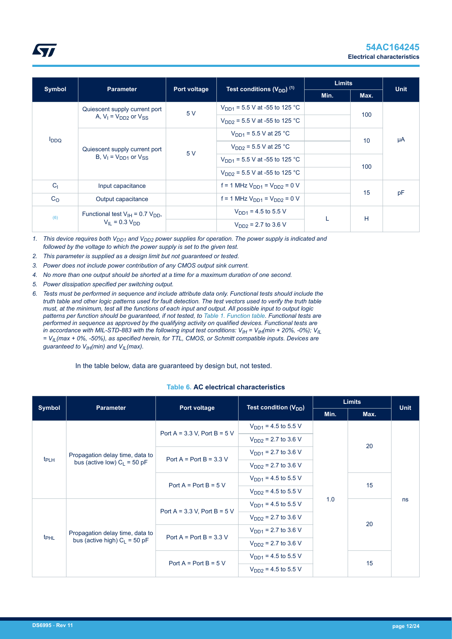<span id="page-11-0"></span>

|                                   |                                                                 |                                           |                                       | <b>Limits</b>            |             |    |  |
|-----------------------------------|-----------------------------------------------------------------|-------------------------------------------|---------------------------------------|--------------------------|-------------|----|--|
| <b>Symbol</b><br><b>Parameter</b> | Port voltage                                                    | Test conditions $(V_{DD})$ <sup>(1)</sup> | Min.                                  | Max.                     | <b>Unit</b> |    |  |
|                                   | Quiescent supply current port                                   | 5 V                                       | $V_{DD1}$ = 5.5 V at -55 to 125 °C    |                          |             |    |  |
|                                   | A, $V_1 = V_{DD2}$ or $V_{SS}$                                  |                                           | $V_{DD2}$ = 5.5 V at -55 to 125 °C    |                          | 100         |    |  |
| $I_{DDQ}$                         | Quiescent supply current port<br>B, $V_1 = V_{DD1}$ or $V_{SS}$ |                                           | $V_{DD1}$ = 5.5 V at 25 °C            |                          | 10          | μA |  |
|                                   |                                                                 | 5 V                                       | $V_{DD2}$ = 5.5 V at 25 °C            |                          |             |    |  |
|                                   |                                                                 |                                           | $V_{DD1}$ = 5.5 V at -55 to 125 °C    |                          | 100         |    |  |
|                                   |                                                                 |                                           | $V_{DD2}$ = 5.5 V at -55 to 125 °C    |                          |             |    |  |
| C <sub>1</sub>                    | Input capacitance                                               |                                           | $f = 1$ MHz $V_{DD1} = V_{DD2} = 0$ V |                          |             |    |  |
| C <sub>O</sub>                    | Output capacitance                                              |                                           | $f = 1$ MHz $V_{DD1} = V_{DD2} = 0$ V |                          | 15          | pF |  |
|                                   | Functional test $V_{IH}$ = 0.7 $V_{DD}$ ,                       |                                           | $V_{DD1}$ = 4.5 to 5.5 V              |                          |             |    |  |
| (6)                               | $V_{II} = 0.3 V_{DD}$                                           |                                           |                                       | $V_{DD2}$ = 2.7 to 3.6 V |             | H  |  |

*1. This device requires both VDD1 and VDD2 power supplies for operation. The power supply is indicated and followed by the voltage to which the power supply is set to the given test.*

- *2. This parameter is supplied as a design limit but not guaranteed or tested.*
- *3. Power does not include power contribution of any CMOS output sink current.*
- *4. No more than one output should be shorted at a time for a maximum duration of one second.*
- *5. Power dissipation specified per switching output.*
- *6. Tests must be performed in sequence and include attribute data only. Functional tests should include the truth table and other logic patterns used for fault detection. The test vectors used to verify the truth table must, at the minimum, test all the functions of each input and output. All possible input to output logic patterns per function should be guaranteed, if not tested, to [Table 1. Function table](#page-1-0). Functional tests are performed in sequence as approved by the qualifying activity on qualified devices. Functional tests are in accordance with MIL-STD-883 with the following input test conditions:*  $V_{IH}$  *=*  $V_{IH}$ *(min + 20%, -0%);*  $V_{IL}$ *= VIL(max + 0%, -50%), as specified herein, for TTL, CMOS, or Schmitt compatible inputs. Devices are guaranteed to VIH(min) and VIL(max).*

In the table below, data are guaranteed by design but, not tested.

#### **Table 6. AC electrical characteristics**

|                  | <b>Parameter</b>                | <b>Limits</b><br>Test condition (V <sub>DD</sub> )<br>Port voltage |                          |      | <b>Unit</b> |    |
|------------------|---------------------------------|--------------------------------------------------------------------|--------------------------|------|-------------|----|
| Symbol           |                                 |                                                                    |                          | Min. | Max.        |    |
|                  |                                 | $V_{DD1}$ = 4.5 to 5.5 V                                           |                          |      |             |    |
|                  |                                 | Port A = $3.3$ V, Port B = $5$ V                                   | $V_{DD2}$ = 2.7 to 3.6 V |      |             |    |
|                  | Propagation delay time, data to |                                                                    | $V_{DD1}$ = 2.7 to 3.6 V |      | 20          |    |
| t <sub>PLH</sub> | bus (active low) $C_1 = 50$ pF  | Port $A = Port B = 3.3 V$                                          | $V_{DD2}$ = 2.7 to 3.6 V |      |             |    |
|                  |                                 | Port $A = Port B = 5 V$                                            | $V_{DD1} = 4.5$ to 5.5 V |      | 15          | ns |
|                  |                                 |                                                                    | $V_{DD2}$ = 4.5 to 5.5 V |      |             |    |
|                  |                                 | Port A = $3.3$ V, Port B = $5$ V                                   | $V_{DD1} = 4.5$ to 5.5 V | 1.0  |             |    |
|                  |                                 |                                                                    | $V_{DD2}$ = 2.7 to 3.6 V |      |             |    |
|                  | Propagation delay time, data to | Port $A = Port B = 3.3 V$                                          | $V_{DD1}$ = 2.7 to 3.6 V |      | 20          |    |
| t <sub>PHL</sub> | bus (active high) $C_L$ = 50 pF |                                                                    | $V_{DD2}$ = 2.7 to 3.6 V |      |             |    |
|                  |                                 | Port $A = Port B = 5 V$                                            | $V_{DD1} = 4.5$ to 5.5 V |      | 15          |    |
|                  |                                 |                                                                    | $V_{DD2}$ = 4.5 to 5.5 V |      |             |    |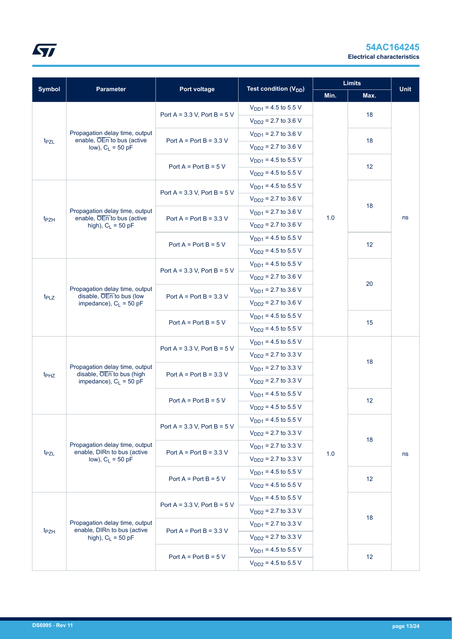

|                                                                                                             |                                                               |                                  | Test condition (V <sub>DD</sub> ) |      | <b>Limits</b> | <b>Unit</b> |
|-------------------------------------------------------------------------------------------------------------|---------------------------------------------------------------|----------------------------------|-----------------------------------|------|---------------|-------------|
| <b>Symbol</b>                                                                                               | <b>Parameter</b>                                              | Port voltage                     |                                   | Min. | Max.          |             |
|                                                                                                             |                                                               | Port A = $3.3$ V, Port B = $5$ V | $V_{DD1}$ = 4.5 to 5.5 V          |      | 18            |             |
| t <sub>PZL</sub>                                                                                            |                                                               |                                  | $V_{DD2}$ = 2.7 to 3.6 V          |      |               |             |
|                                                                                                             | Propagation delay time, output<br>enable, OEn to bus (active  | Port $A = Port B = 3.3 V$        | $V_{DD1}$ = 2.7 to 3.6 V          |      | 18            |             |
|                                                                                                             | low), $C_L = 50$ pF                                           |                                  | $V_{DD2}$ = 2.7 to 3.6 V          |      |               |             |
|                                                                                                             |                                                               | Port $A = Port B = 5 V$          | $V_{DD1}$ = 4.5 to 5.5 V          |      | 12            |             |
|                                                                                                             |                                                               |                                  | $V_{DD2}$ = 4.5 to 5.5 V          |      |               |             |
|                                                                                                             |                                                               | Port A = $3.3$ V, Port B = $5$ V | $V_{DD1}$ = 4.5 to 5.5 V          |      |               |             |
|                                                                                                             |                                                               |                                  | $V_{DD2}$ = 2.7 to 3.6 V          |      | 18            |             |
|                                                                                                             | Propagation delay time, output                                | Port A = Port B = $3.3$ V        | $V_{DD1}$ = 2.7 to 3.6 V          | 1.0  |               | ns          |
| enable, OEn to bus (active<br>t <sub>PZH</sub><br>high), $C_L$ = 50 pF                                      |                                                               | $V_{DD2}$ = 2.7 to 3.6 V         |                                   |      |               |             |
|                                                                                                             |                                                               | Port A = Port B = $5 V$          | $V_{DD1}$ = 4.5 to 5.5 V          |      | 12            |             |
|                                                                                                             |                                                               |                                  | $V_{DD2}$ = 4.5 to 5.5 V          |      |               |             |
|                                                                                                             |                                                               |                                  | $V_{DD1}$ = 4.5 to 5.5 V          |      |               |             |
|                                                                                                             |                                                               | Port A = $3.3$ V, Port B = $5$ V | $V_{DD2}$ = 2.7 to 3.6 V          |      | 20            |             |
| Propagation delay time, output<br>disable, OEn to bus (low<br>t <sub>PLZ</sub><br>impedance), $C_L = 50$ pF |                                                               | $V_{DD1}$ = 2.7 to 3.6 V         |                                   |      |               |             |
|                                                                                                             |                                                               | Port A = Port B = $3.3$ V        | $V_{DD2}$ = 2.7 to 3.6 V          |      |               |             |
|                                                                                                             |                                                               |                                  | $V_{DD1}$ = 4.5 to 5.5 V          |      | 15            |             |
|                                                                                                             |                                                               | Port $A = Port B = 5 V$          | $V_{DD2}$ = 4.5 to 5.5 V          |      |               |             |
|                                                                                                             |                                                               |                                  | $V_{DD1}$ = 4.5 to 5.5 V          |      |               |             |
|                                                                                                             |                                                               | Port A = $3.3$ V, Port B = $5$ V | $V_{DD2}$ = 2.7 to 3.3 V          |      |               |             |
|                                                                                                             | Propagation delay time, output<br>disable, OEn to bus (high   |                                  | $V_{DD1}$ = 2.7 to 3.3 V          |      | 18            |             |
| $t_{PHZ}$                                                                                                   | impedance), $C_1 = 50$ pF                                     | Port $A = Port B = 3.3 V$        | $V_{DD2}$ = 2.7 to 3.3 V          |      |               |             |
|                                                                                                             |                                                               |                                  | $V_{DD1}$ = 4.5 to 5.5 V          |      |               |             |
|                                                                                                             |                                                               | Port $A = Port B = 5 V$          | $V_{DD2}$ = 4.5 to 5.5 V          |      | 12            |             |
|                                                                                                             |                                                               |                                  | $V_{DD1}$ = 4.5 to 5.5 V          |      |               |             |
|                                                                                                             |                                                               | Port A = $3.3$ V, Port B = $5$ V | $V_{DD2}$ = 2.7 to 3.3 V          |      | 18            |             |
|                                                                                                             | Propagation delay time, output<br>enable, DIRn to bus (active |                                  | $V_{DD1}$ = 2.7 to 3.3 V          |      |               |             |
| t <sub>PZL</sub>                                                                                            | low), $C_L = 50$ pF                                           | Port $A = Port B = 3.3 V$        | $V_{DD2}$ = 2.7 to 3.3 V          | 1.0  |               | ns          |
|                                                                                                             |                                                               |                                  | $V_{DD1}$ = 4.5 to 5.5 V          |      |               |             |
|                                                                                                             |                                                               | Port $A = Port B = 5 V$          | $V_{DD2}$ = 4.5 to 5.5 V          |      | 12            |             |
|                                                                                                             |                                                               |                                  | $V_{DD1}$ = 4.5 to 5.5 V          |      |               |             |
|                                                                                                             |                                                               | Port A = $3.3$ V, Port B = $5$ V | $V_{DD2}$ = 2.7 to 3.3 V          |      |               |             |
|                                                                                                             | Propagation delay time, output                                |                                  | 18<br>$V_{DD1}$ = 2.7 to 3.3 V    |      |               |             |
| t <sub>PZH</sub>                                                                                            | enable, DIRn to bus (active<br>high), $C_L$ = 50 pF           | Port A = Port B = $3.3$ V        | $V_{DD2}$ = 2.7 to 3.3 V          |      |               |             |
|                                                                                                             | Port $A = Port B = 5 V$                                       | $V_{DD1}$ = 4.5 to 5.5 V         |                                   |      |               |             |
|                                                                                                             |                                                               |                                  | $V_{DD2}$ = 4.5 to 5.5 V          |      | 12            |             |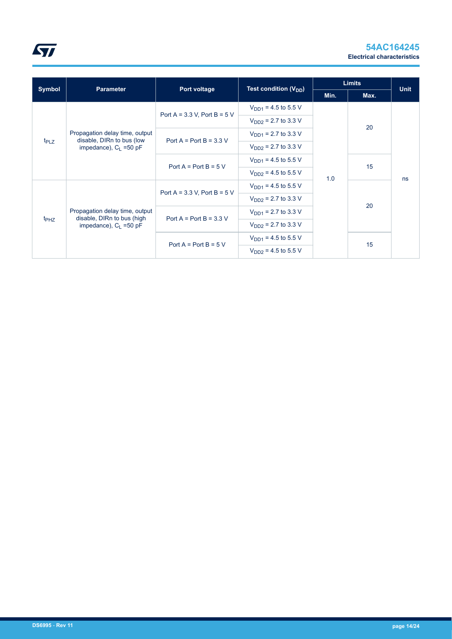

|                  |                                                              |                                  |                                 |      | <b>Limits</b> |             |
|------------------|--------------------------------------------------------------|----------------------------------|---------------------------------|------|---------------|-------------|
| Symbol           | <b>Parameter</b>                                             | Port voltage                     | Test condition $(V_{DD})$       | Min. | Max.          | <b>Unit</b> |
| $t_{PLZ}$        |                                                              |                                  | $V_{DD1}$ = 4.5 to 5.5 V        |      |               |             |
|                  |                                                              | Port A = $3.3$ V, Port B = $5$ V | $V_{DD2}$ = 2.7 to 3.3 V        |      |               |             |
|                  | Propagation delay time, output<br>disable, DIRn to bus (low  | Port A = Port B = $3.3$ V        | $V_{\text{DD1}}$ = 2.7 to 3.3 V |      | 20            |             |
|                  | impedance), $C_1$ =50 pF                                     |                                  | $V_{DD2}$ = 2.7 to 3.3 V        |      |               |             |
|                  |                                                              | Port $A = Port B = 5 V$          | $V_{\text{DD1}}$ = 4.5 to 5.5 V |      | 15            | ns          |
|                  |                                                              |                                  | $V_{DD2}$ = 4.5 to 5.5 V        | 1.0  |               |             |
|                  |                                                              |                                  | $V_{\text{DD1}}$ = 4.5 to 5.5 V |      |               |             |
|                  |                                                              | Port A = $3.3$ V, Port B = $5$ V | $V_{DD2}$ = 2.7 to 3.3 V        |      |               |             |
|                  | Propagation delay time, output<br>disable, DIRn to bus (high | Port A = Port B = $3.3$ V        | $V_{\text{DD1}}$ = 2.7 to 3.3 V |      | 20            |             |
| t <sub>PHZ</sub> | impedance), $C_1$ =50 pF                                     |                                  | $V_{DD2}$ = 2.7 to 3.3 V        |      |               |             |
|                  |                                                              |                                  | $V_{DD1}$ = 4.5 to 5.5 V        |      | 15            |             |
|                  |                                                              | Port $A = Port B = 5 V$          | $V_{DD2}$ = 4.5 to 5.5 V        |      |               |             |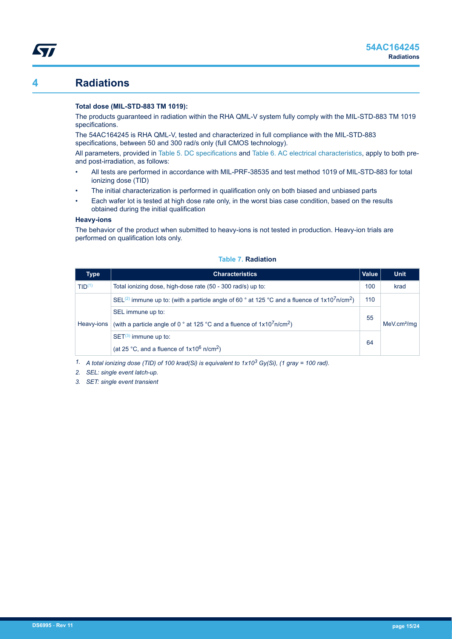## **4 Radiations**

<span id="page-14-0"></span>*Lyt* 

#### **Total dose (MIL-STD-883 TM 1019):**

The products guaranteed in radiation within the RHA QML-V system fully comply with the MIL-STD-883 TM 1019 specifications.

The 54AC164245 is RHA QML-V, tested and characterized in full compliance with the MIL-STD-883 specifications, between 50 and 300 rad/s only (full CMOS technology).

All parameters, provided in [Table 5. DC specifications](#page-7-0) and [Table 6. AC electrical characteristics,](#page-11-0) apply to both preand post-irradiation, as follows:

- All tests are performed in accordance with MIL-PRF-38535 and test method 1019 of MIL-STD-883 for total ionizing dose (TID)
- The initial characterization is performed in qualification only on both biased and unbiased parts
- Each wafer lot is tested at high dose rate only, in the worst bias case condition, based on the results obtained during the initial qualification

#### **Heavy-ions**

The behavior of the product when submitted to heavy-ions is not tested in production. Heavy-ion trials are performed on qualification lots only.

| Type               | <b>Characteristics</b>                                                                                                                              | Value | <b>Unit</b>             |
|--------------------|-----------------------------------------------------------------------------------------------------------------------------------------------------|-------|-------------------------|
| TID <sup>(1)</sup> | Total ionizing dose, high-dose rate (50 - 300 rad/s) up to:                                                                                         | 100   | krad                    |
|                    | SEL <sup>(2)</sup> immune up to: (with a particle angle of 60 $^{\circ}$ at 125 $^{\circ}$ C and a fluence of 1x10 <sup>7</sup> n/cm <sup>2</sup> ) | 110   |                         |
| Heavy-ions         | SEL immune up to:<br>(with a particle angle of 0 $^{\circ}$ at 125 $^{\circ}$ C and a fluence of 1x10 <sup>7</sup> n/cm <sup>2</sup> )              | 55    | MeV.cm <sup>2</sup> /mq |
|                    | $SET(3)$ immune up to:<br>(at 25 °C, and a fluence of $1x10^6$ n/cm <sup>2</sup> )                                                                  |       |                         |

#### **Table 7. Radiation**

*1. A total ionizing dose (TID) of 100 krad(Si) is equivalent to 1x103 Gy(Si), (1 gray = 100 rad).*

*2. SEL: single event latch-up.*

*3. SET: single event transient*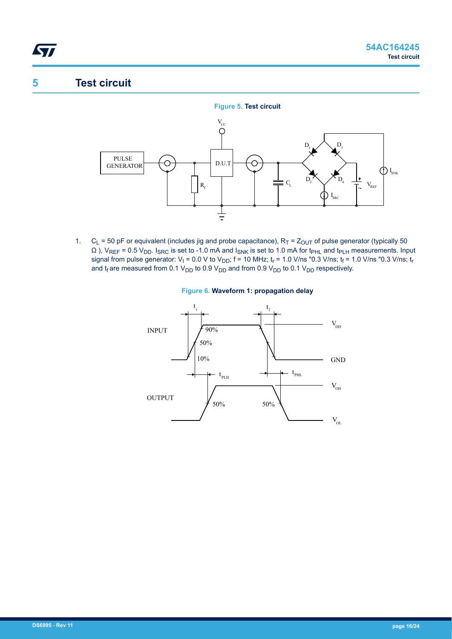## **5 Test circuit**

<span id="page-15-0"></span>*STI* 



1. C<sub>L</sub> = 50 pF or equivalent (includes jig and probe capacitance),  $R_T = Z_{OUT}$  of pulse generator (typically 50  $\Omega$ ), V<sub>REF</sub> = 0.5 V<sub>DD</sub>. I<sub>SRC</sub> is set to -1.0 mA and I<sub>SNK</sub> is set to 1.0 mA for t<sub>PHL</sub> and t<sub>PLH</sub> measurements. Input signal from pulse generator: V<sub>I</sub> = 0.0 V to V<sub>DD</sub>; f = 10 MHz; t<sub>r</sub> = 1.0 V/ns "0.3 V/ns; t<sub>f</sub> = 1.0 V/ns "0.3 V/ns; t<sub>r</sub> and  $t_f$  are measured from 0.1 V<sub>DD</sub> to 0.9 V<sub>DD</sub> and from 0.9 V<sub>DD</sub> to 0.1 V<sub>DD</sub> respectively.



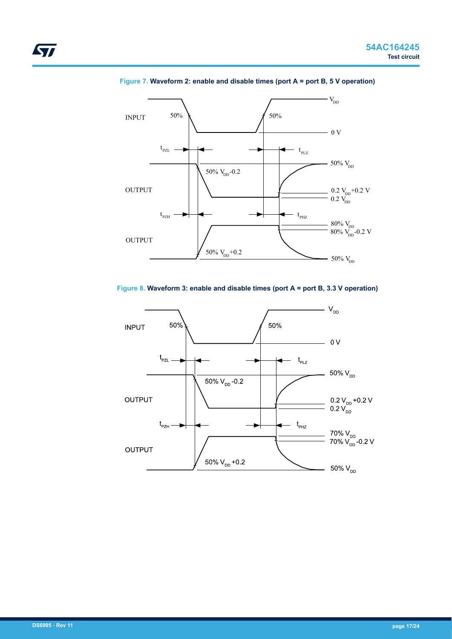

**Figure 7. Waveform 2: enable and disable times (port A = port B, 5 V operation)**





ST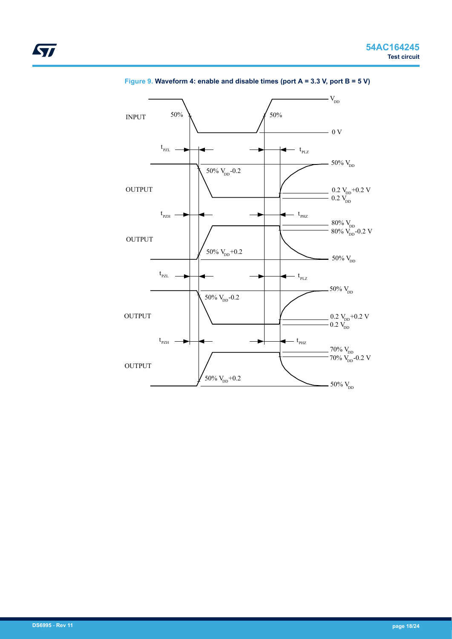

## **Figure 9. Waveform 4: enable and disable times (port A = 3.3 V, port B = 5 V)**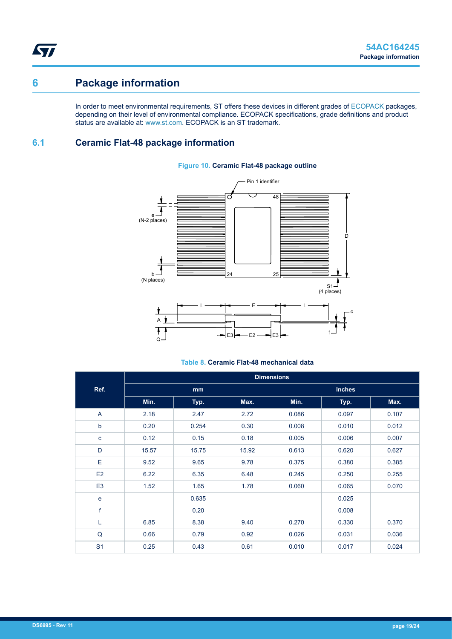# <span id="page-18-0"></span>**6 Package information**

In order to meet environmental requirements, ST offers these devices in different grades of [ECOPACK](https://www.st.com/ecopack) packages, depending on their level of environmental compliance. ECOPACK specifications, grade definitions and product status are available at: [www.st.com.](http://www.st.com) ECOPACK is an ST trademark.

## **6.1 Ceramic Flat-48 package information**



## **Figure 10. Ceramic Flat-48 package outline**

## **Table 8. Ceramic Flat-48 mechanical data**

|                | <b>Dimensions</b> |       |       |               |       |       |  |
|----------------|-------------------|-------|-------|---------------|-------|-------|--|
| Ref.           | mm                |       |       | <b>Inches</b> |       |       |  |
|                | Min.              | Typ.  | Max.  | Min.          | Typ.  | Max.  |  |
| A              | 2.18              | 2.47  | 2.72  | 0.086         | 0.097 | 0.107 |  |
| b              | 0.20              | 0.254 | 0.30  | 0.008         | 0.010 | 0.012 |  |
| c              | 0.12              | 0.15  | 0.18  | 0.005         | 0.006 | 0.007 |  |
| D              | 15.57             | 15.75 | 15.92 | 0.613         | 0.620 | 0.627 |  |
| E              | 9.52              | 9.65  | 9.78  | 0.375         | 0.380 | 0.385 |  |
| E <sub>2</sub> | 6.22              | 6.35  | 6.48  | 0.245         | 0.250 | 0.255 |  |
| E <sub>3</sub> | 1.52              | 1.65  | 1.78  | 0.060         | 0.065 | 0.070 |  |
| $\mathbf e$    |                   | 0.635 |       |               | 0.025 |       |  |
| f              |                   | 0.20  |       |               | 0.008 |       |  |
| Г              | 6.85              | 8.38  | 9.40  | 0.270         | 0.330 | 0.370 |  |
| Q              | 0.66              | 0.79  | 0.92  | 0.026         | 0.031 | 0.036 |  |
| S <sub>1</sub> | 0.25              | 0.43  | 0.61  | 0.010         | 0.017 | 0.024 |  |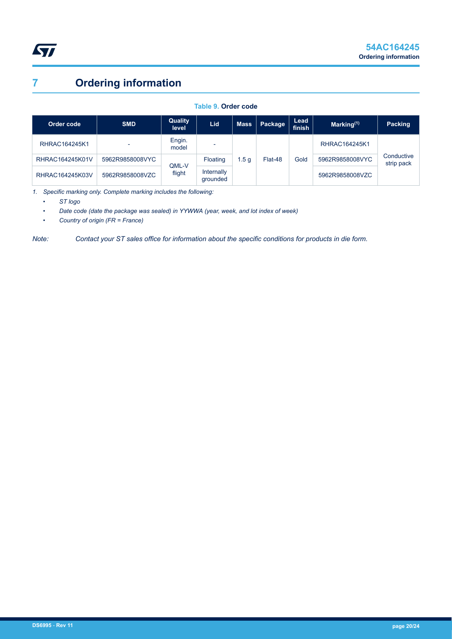# <span id="page-19-0"></span>**7 Ordering information**

## **Table 9. Order code**

| Order code      | <b>SMD</b>      | Quality<br>level | Lid                    | <b>Mass</b> | Package | Lead<br>finish | Marking $(1)$   | <b>Packing</b>  |                          |
|-----------------|-----------------|------------------|------------------------|-------------|---------|----------------|-----------------|-----------------|--------------------------|
| RHRAC164245K1   |                 | Engin.<br>model  |                        |             |         |                | RHRAC164245K1   |                 |                          |
| RHRAC164245K01V | 5962R9858008VYC | QML-V            | Floating               | . 5 g       | Flat-48 |                | Gold            | 5962R9858008VYC | Conductive<br>strip pack |
| RHRAC164245K03V | 5962R9858008VZC | flight           | Internally<br>grounded |             |         |                | 5962R9858008VZC |                 |                          |

*1. Specific marking only. Complete marking includes the following:*

*• ST logo*

*• Date code (date the package was sealed) in YYWWA (year, week, and lot index of week)*

*• Country of origin (FR = France)*

*Note: Contact your ST sales office for information about the specific conditions for products in die form.*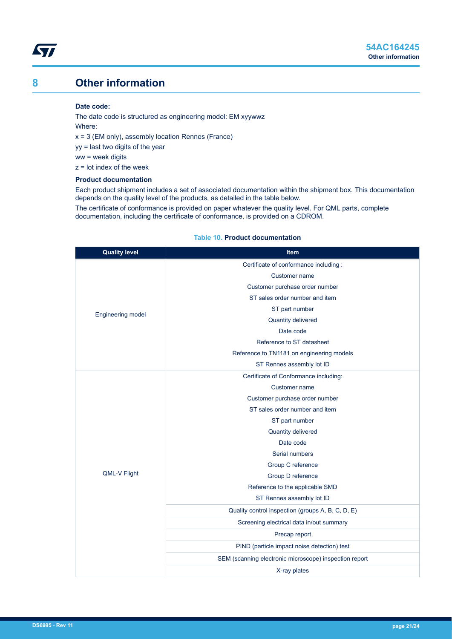## <span id="page-20-0"></span>**8 Other information**

#### **Date code:**

The date code is structured as engineering model: EM xyywwz Where:  $x = 3$  (EM only), assembly location Rennes (France) yy = last two digits of the year

ww = week digits

z = lot index of the week

## **Product documentation**

Each product shipment includes a set of associated documentation within the shipment box. This documentation depends on the quality level of the products, as detailed in the table below.

The certificate of conformance is provided on paper whatever the quality level. For QML parts, complete documentation, including the certificate of conformance, is provided on a CDROM.

### **Table 10. Product documentation**

| <b>Quality level</b> | Item                                                   |  |  |  |  |
|----------------------|--------------------------------------------------------|--|--|--|--|
|                      | Certificate of conformance including :                 |  |  |  |  |
|                      | Customer name                                          |  |  |  |  |
|                      | Customer purchase order number                         |  |  |  |  |
|                      | ST sales order number and item                         |  |  |  |  |
| Engineering model    | ST part number                                         |  |  |  |  |
|                      | Quantity delivered                                     |  |  |  |  |
|                      | Date code                                              |  |  |  |  |
|                      | Reference to ST datasheet                              |  |  |  |  |
|                      | Reference to TN1181 on engineering models              |  |  |  |  |
|                      | ST Rennes assembly lot ID                              |  |  |  |  |
|                      | Certificate of Conformance including:                  |  |  |  |  |
|                      | Customer name                                          |  |  |  |  |
|                      | Customer purchase order number                         |  |  |  |  |
|                      | ST sales order number and item                         |  |  |  |  |
|                      | ST part number                                         |  |  |  |  |
|                      | Quantity delivered                                     |  |  |  |  |
|                      | Date code                                              |  |  |  |  |
|                      | Serial numbers                                         |  |  |  |  |
|                      | Group C reference                                      |  |  |  |  |
| QML-V Flight         | Group D reference                                      |  |  |  |  |
|                      | Reference to the applicable SMD                        |  |  |  |  |
|                      | ST Rennes assembly lot ID                              |  |  |  |  |
|                      | Quality control inspection (groups A, B, C, D, E)      |  |  |  |  |
|                      | Screening electrical data in/out summary               |  |  |  |  |
|                      | Precap report                                          |  |  |  |  |
|                      | PIND (particle impact noise detection) test            |  |  |  |  |
|                      | SEM (scanning electronic microscope) inspection report |  |  |  |  |
|                      | X-ray plates                                           |  |  |  |  |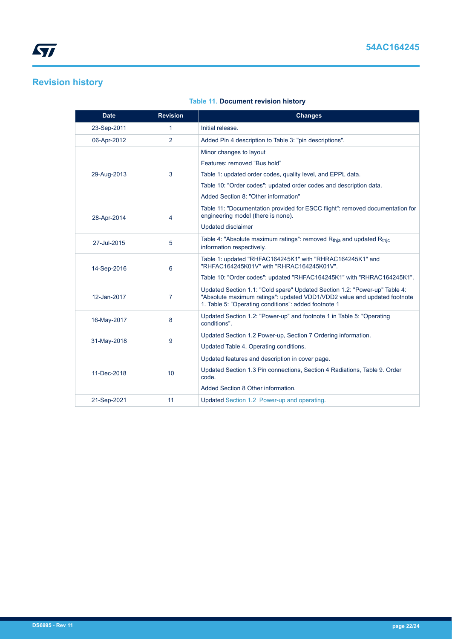# <span id="page-21-0"></span>**Revision history**

## **Table 11. Document revision history**

| <b>Date</b> | <b>Revision</b> | <b>Changes</b>                                                                                                                                                                                                 |  |
|-------------|-----------------|----------------------------------------------------------------------------------------------------------------------------------------------------------------------------------------------------------------|--|
| 23-Sep-2011 | 1               | Initial release.                                                                                                                                                                                               |  |
| 06-Apr-2012 | $\overline{2}$  | Added Pin 4 description to Table 3: "pin descriptions".                                                                                                                                                        |  |
|             |                 | Minor changes to layout                                                                                                                                                                                        |  |
|             |                 | Features: removed "Bus hold"                                                                                                                                                                                   |  |
| 29-Aug-2013 | 3               | Table 1: updated order codes, quality level, and EPPL data.                                                                                                                                                    |  |
|             |                 | Table 10: "Order codes": updated order codes and description data.                                                                                                                                             |  |
|             |                 | Added Section 8: "Other information"                                                                                                                                                                           |  |
| 28-Apr-2014 | 4               | Table 11: "Documentation provided for ESCC flight": removed documentation for<br>engineering model (there is none).                                                                                            |  |
|             |                 | <b>Updated disclaimer</b>                                                                                                                                                                                      |  |
| 27-Jul-2015 | 5               | Table 4: "Absolute maximum ratings": removed R <sub>thia</sub> and updated R <sub>thic</sub><br>information respectively.                                                                                      |  |
| 14-Sep-2016 | 6               | Table 1: updated "RHFAC164245K1" with "RHRAC164245K1" and<br>"RHFAC164245K01V" with "RHRAC164245K01V".                                                                                                         |  |
|             |                 | Table 10: "Order codes": updated "RHFAC164245K1" with "RHRAC164245K1".                                                                                                                                         |  |
| 12-Jan-2017 | 7               | Updated Section 1.1: "Cold spare" Updated Section 1.2: "Power-up" Table 4:<br>"Absolute maximum ratings": updated VDD1/VDD2 value and updated footnote<br>1. Table 5: "Operating conditions": added footnote 1 |  |
| 16-May-2017 | 8               | Updated Section 1.2: "Power-up" and footnote 1 in Table 5: "Operating<br>conditions".                                                                                                                          |  |
|             | 9               | Updated Section 1.2 Power-up, Section 7 Ordering information.                                                                                                                                                  |  |
| 31-May-2018 |                 | Updated Table 4. Operating conditions.                                                                                                                                                                         |  |
|             | 10              | Updated features and description in cover page.                                                                                                                                                                |  |
| 11-Dec-2018 |                 | Updated Section 1.3 Pin connections, Section 4 Radiations, Table 9. Order<br>code.                                                                                                                             |  |
|             |                 | Added Section 8 Other information.                                                                                                                                                                             |  |
| 21-Sep-2021 | 11              | Updated Section 1.2 Power-up and operating.                                                                                                                                                                    |  |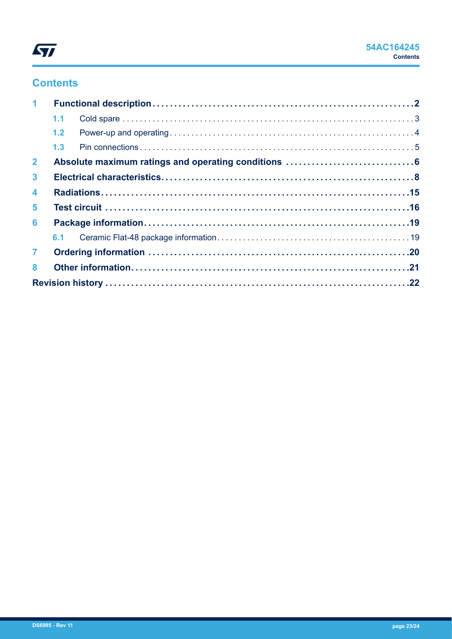

## **Contents**

| $\mathbf 1$    |     |  |  |  |  |
|----------------|-----|--|--|--|--|
|                | 1.1 |  |  |  |  |
|                | 1.2 |  |  |  |  |
|                | 1.3 |  |  |  |  |
| 2 <sup>1</sup> |     |  |  |  |  |
| $\mathbf{3}$   |     |  |  |  |  |
| 4              |     |  |  |  |  |
| 5              |     |  |  |  |  |
| 6              |     |  |  |  |  |
|                |     |  |  |  |  |
| 7 <sup>1</sup> |     |  |  |  |  |
| 8              |     |  |  |  |  |
|                |     |  |  |  |  |